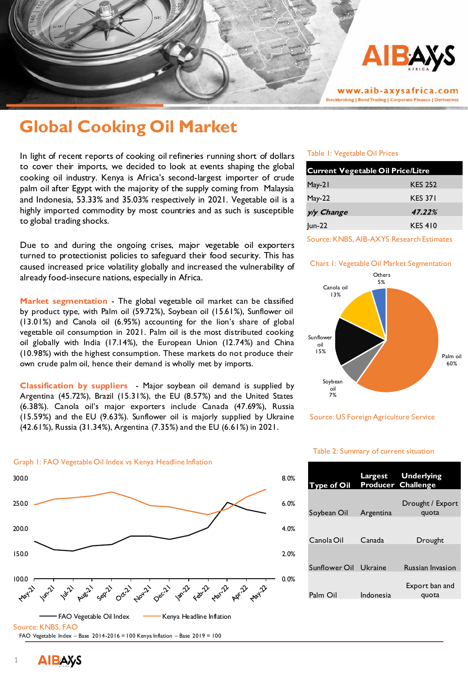

www.aib-axysafrica.com **Stockbroking | Bond Trading | Corporate Finance | Derivatives** 

# **Global Cooking Oil Market**

In light of recent reports of cooking oil refineries running short of dollars to cover their imports, we decided to look at events shaping the global cooking oil industry. Kenya is Africa's second-largest importer of crude palm oil after Egypt with the majority of the supply coming from Malaysia and Indonesia, 53.33% and 35.03% respectively in 2021. Vegetable oil is a highly imported commodity by most countries and as such is susceptible to global trading shocks.

Due to and during the ongoing crises, major vegetable oil exporters turned to protectionist policies to safeguard their food security. This has caused increased price volatility globally and increased the vulnerability of already food-insecure nations, especially in Africa.

**Market segmentation** - The global vegetable oil market can be classified by product type, with Palm oil (59.72%), Soybean oil (15.61%), Sunflower oil (13.01%) and Canola oil (6.95%) accounting for the lion's share of global vegetable oil consumption in 2021. Palm oil is the most distributed cooking oil globally with India (17.14%), the European Union (12.74%) and China (10.98%) with the highest consumption. These markets do not produce their own crude palm oil, hence their demand is wholly met by imports.

**Classification by suppliers** - Major soybean oil demand is supplied by Argentina (45.72%), Brazil (15.31%), the EU (8.57%) and the United States (6.38%). Canola oil's major exporters include Canada (47.69%), Russia (15.59%) and the EU (9.63%). Sunflower oil is majorly supplied by Ukraine (42.61%), Russia (31.34%), Argentina (7.35%) and the EU (6.61%) in 2021.

#### Graph 1: FAO Vegetable Oil Index vs Kenya Headline Inflation



#### Table 1: Vegetable Oil Prices

| <b>Current Vegetable Oil Price/Litre</b> |                |
|------------------------------------------|----------------|
| May-21                                   | <b>KES 252</b> |
| May-22                                   | <b>KES 371</b> |
| y/y Change                               | 47.22%         |
| Jun-22                                   | <b>KES 410</b> |

#### Source: KNBS, AIB-AXYS Research Estimates

#### Chart 1: Vegetable Oil Market Segmentation



Source: US Foreign Agriculture Service

## **Type of Oil Largest Producer Challenge Underlying**  Soybean Oil Argentina Drought / Export quota Canola Oil Canada Drought Sunflower Oil Ukraine Russian Invasion Palm Oil Indonesia Export ban and quota

#### Table 2: Summary of current situation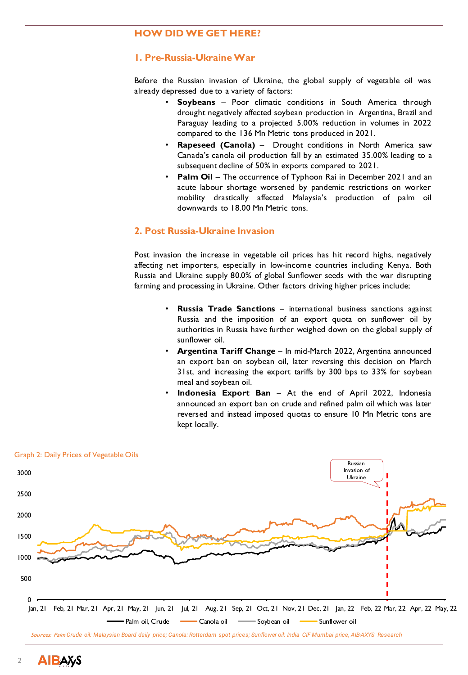## **HOW DID WE GET HERE?**

## **1. Pre-Russia-UkraineWar**

Before the Russian invasion of Ukraine, the global supply of vegetable oil was already depressed due to a variety of factors:

- **Soybeans** Poor climatic conditions in South America through drought negatively affected soybean production in Argentina, Brazil and Paraguay leading to a projected 5.00% reduction in volumes in 2022 compared to the 136 Mn Metric tons produced in 2021.
- **Rapeseed (Canola)** Drought conditions in North America saw Canada's canola oil production fall by an estimated 35.00% leading to a subsequent decline of 50% in exports compared to 2021.
- **Palm Oil** The occurrence of Typhoon Rai in December 2021 and an acute labour shortage worsened by pandemic restrictions on worker mobility drastically affected Malaysia's production of palm oil downwards to 18.00 Mn Metric tons.

## **2. Post Russia-Ukraine Invasion**

Post invasion the increase in vegetable oil prices has hit record highs, negatively affecting net importers, especially in low-income countries including Kenya. Both Russia and Ukraine supply 80.0% of global Sunflower seeds with the war disrupting farming and processing in Ukraine. Other factors driving higher prices include;

- **Russia Trade Sanctions** international business sanctions against Russia and the imposition of an export quota on sunflower oil by authorities in Russia have further weighed down on the global supply of sunflower oil.
- **Argentina Tariff Change** In mid-March 2022, Argentina announced an export ban on soybean oil, later reversing this decision on March 31st, and increasing the export tariffs by 300 bps to 33% for soybean meal and soybean oil.
- **Indonesia Export Ban** At the end of April 2022, Indonesia announced an export ban on crude and refined palm oil which was later reversed and instead imposed quotas to ensure 10 Mn Metric tons are kept locally.

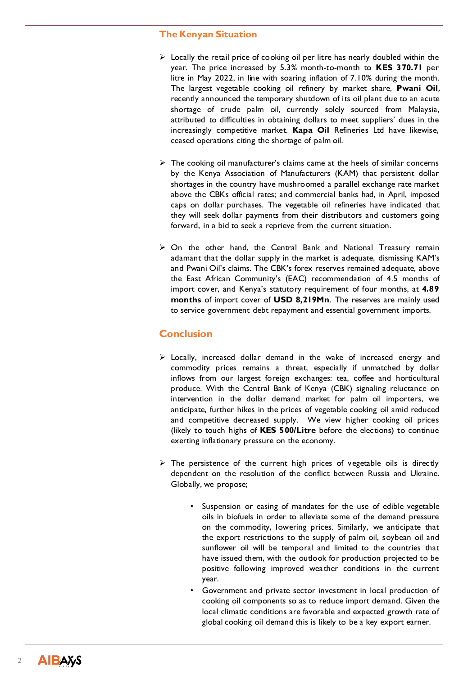## **The Kenyan Situation**

- $\triangleright$  Locally the retail price of cooking oil per litre has nearly doubled within the year. The price increased by 5.3% month-to-month to **KES 370.71** per litre in May 2022, in line with soaring inflation of 7.10% during the month. The largest vegetable cooking oil refinery by market share, **Pwani Oil**, recently announced the temporary shutdown of its oil plant due to an acute shortage of crude palm oil, currently solely sourced from Malaysia, attributed to difficulties in obtaining dollars to meet suppliers' dues in the increasingly competitive market. **Kapa Oil** Refineries Ltd have likewise, ceased operations citing the shortage of palm oil.
- $\triangleright$  The cooking oil manufacturer's claims came at the heels of similar concerns by the Kenya Association of Manufacturers (KAM) that persistent dollar shortages in the country have mushroomed a parallel exchange rate market above the CBKs official rates; and commercial banks had, in April, imposed caps on dollar purchases. The vegetable oil refineries have indicated that they will seek dollar payments from their distributors and customers going forward, in a bid to seek a reprieve from the current situation.
- $\triangleright$  On the other hand, the Central Bank and National Treasury remain adamant that the dollar supply in the market is adequate, dismissing KAM's and Pwani Oil's claims. The CBK's forex reserves remained adequate, above the East African Community's (EAC) recommendation of 4.5 months of import cover, and Kenya's statutory requirement of four months, at **4.89 months** of import cover of **USD 8,219Mn**. The reserves are mainly used to service government debt repayment and essential government imports.

## **Conclusion**

- $\triangleright$  Locally, increased dollar demand in the wake of increased energy and commodity prices remains a threat, especially if unmatched by dollar inflows from our largest foreign exchanges: tea, coffee and horticultural produce. With the Central Bank of Kenya (CBK) signaling reluctance on intervention in the dollar demand market for palm oil importers, we anticipate, further hikes in the prices of vegetable cooking oil amid reduced and competitive decreased supply. We view higher cooking oil prices (likely to touch highs of **KES 500/Litre** before the elections) to continue exerting inflationary pressure on the economy.
- $\triangleright$  The persistence of the current high prices of vegetable oils is directly dependent on the resolution of the conflict between Russia and Ukraine. Globally, we propose;
	- Suspension or easing of mandates for the use of edible vegetable oils in biofuels in order to alleviate some of the demand pressure on the commodity, lowering prices. Similarly, we anticipate that the export restrictions to the supply of palm oil, soybean oil and sunflower oil will be temporal and limited to the countries that have issued them, with the outlook for production projected to be positive following improved weather conditions in the current year.
	- Government and private sector investment in local production of cooking oil components so as to reduce import demand. Given the local climatic conditions are favorable and expected growth rate of global cooking oil demand this is likely to be a key export earner.